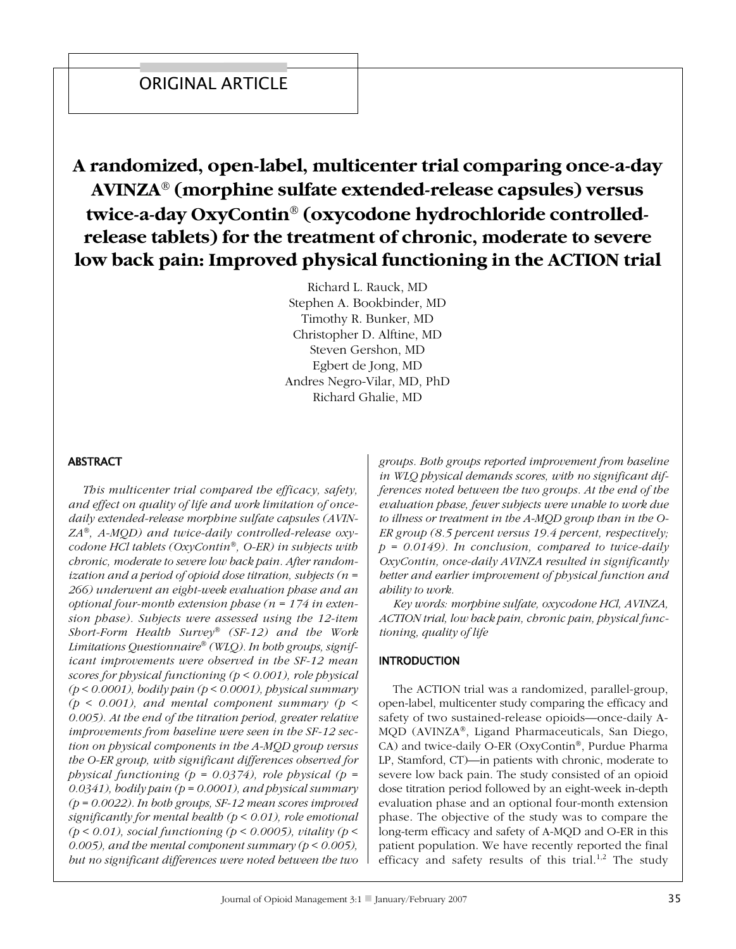# A randomized, open-label, multicenter trial comparing once-a-day AVINZA<sup>®</sup> (morphine sulfate extended-release capsules) versus twice-a-day OxyContin® (oxycodone hydrochloride controlledrelease tablets) for the treatment of chronic, moderate to severe low back pain: Improved physical functioning in the ACTION trial

Richard L. Rauck, MD Stephen A. Bookbinder, MD Timothy R. Bunker, MD Christopher D. Alftine, MD Steven Gershon, MD Egbert de Jong, MD Andres Negro-Vilar, MD, PhD Richard Ghalie, MD

## **ABSTRACT**

This multicenter trial compared the efficacy, safety, and effect on quality of life and work limitation of oncedaily extended-release morphine sulfate capsules (AVIN- $ZA^{\otimes}$ , A-MQD) and twice-daily controlled-release oxycodone HCl tablets ( $OxyContin^{\circledast}$ , O-ER) in subjects with chronic, moderate to severe low back pain. After randomization and a period of opioid dose titration, subjects ( $n =$ 266) underwent an eight-week evaluation phase and an optional four-month extension phase ( $n = 174$  in extension phase). Subjects were assessed using the 12-item Short-Form Health Survey<sup>®</sup> (SF-12) and the Work Limitations Questionnaire® (WLQ). In both groups, significant improvements were observed in the SF-12 mean scores for physical functioning ( $p < 0.001$ ), role physical  $(p < 0.0001)$ , bodily pain  $(p < 0.0001)$ , physical summary ( $p < 0.001$ ), and mental component summary ( $p <$ 0.005). At the end of the titration period, greater relative improvements from baseline were seen in the SF-12 section on physical components in the A-MQD group versus the O-ER group, with significant differences observed for physical functioning ( $p = 0.0374$ ), role physical ( $p =$ 0.0341), bodily pain ( $p = 0.0001$ ), and physical summary  $(p = 0.0022)$ . In both groups, SF-12 mean scores improved significantly for mental bealth ( $p < 0.01$ ), role emotional ( $p < 0.01$ ), social functioning ( $p < 0.0005$ ), vitality ( $p <$ 0.005), and the mental component summary ( $p < 0.005$ ), but no significant differences were noted between the two groups. Both groups reported improvement from baseline in WLQ physical demands scores, with no significant differences noted between the two groups. At the end of the evaluation phase, fewer subjects were unable to work due to illness or treatment in the A-MQD group than in the O-ER group  $(8.5$  percent versus 19.4 percent, respectively;  $p = 0.0149$ . In conclusion, compared to twice-daily OxyContin, once-daily AVINZA resulted in significantly better and earlier improvement of physical function and ability to work.

Key words: morphine sulfate, oxycodone HCl, AVINZA, ACTION trial, low back pain, chronic pain, physical functioning, quality of life

## **INTRODUCTION**

The ACTION trial was a randomized, parallel-group, open-label, multicenter study comparing the efficacy and safety of two sustained-release opioids—once-daily A-MQD (AVINZA®, Ligand Pharmaceuticals, San Diego, CA) and twice-daily O-ER (OxyContin®, Purdue Pharma LP, Stamford, CT)-in patients with chronic, moderate to severe low back pain. The study consisted of an opioid dose titration period followed by an eight-week in-depth evaluation phase and an optional four-month extension phase. The objective of the study was to compare the long-term efficacy and safety of A-MQD and O-ER in this patient population. We have recently reported the final efficacy and safety results of this trial.<sup>1,2</sup> The study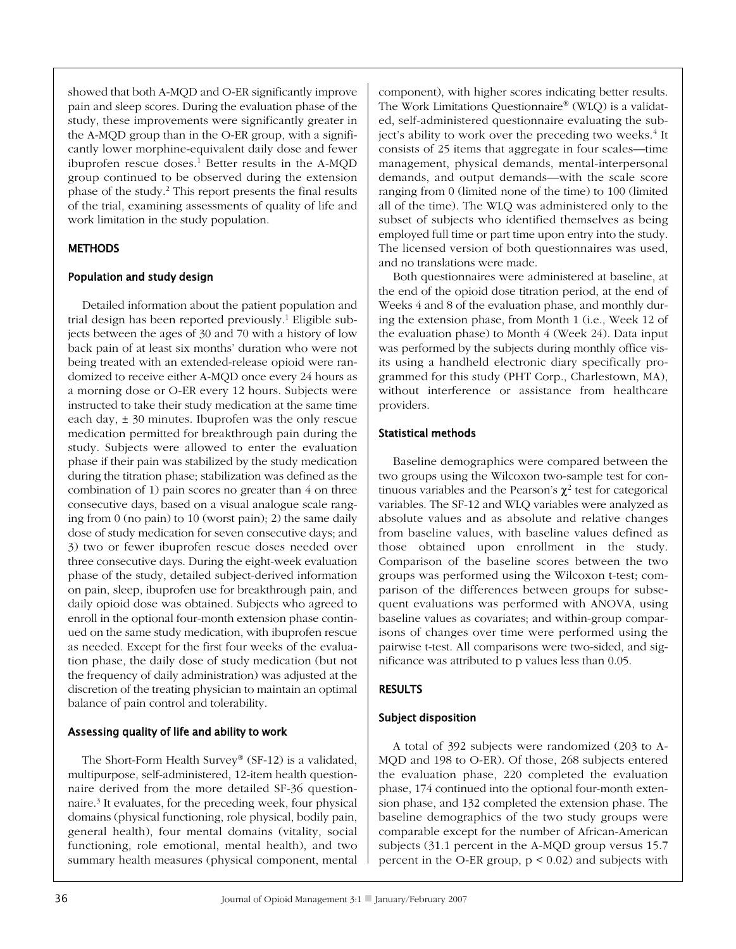showed that both A-MQD and O-ER significantly improve pain and sleep scores. During the evaluation phase of the study, these improvements were significantly greater in the A-MQD group than in the O-ER group, with a significantly lower morphine-equivalent daily dose and fewer ibuprofen rescue doses.<sup>1</sup> Better results in the A-MQD group continued to be observed during the extension phase of the study.<sup>2</sup> This report presents the final results of the trial, examining assessments of quality of life and work limitation in the study population.

# **METHODS**

## Population and study design

Detailed information about the patient population and trial design has been reported previously.<sup>1</sup> Eligible subjects between the ages of 30 and 70 with a history of low back pain of at least six months' duration who were not being treated with an extended-release opioid were randomized to receive either A-MQD once every 24 hours as a morning dose or O-ER every 12 hours. Subjects were instructed to take their study medication at the same time each day,  $\pm$  30 minutes. Ibuprofen was the only rescue medication permitted for breakthrough pain during the study. Subjects were allowed to enter the evaluation phase if their pain was stabilized by the study medication during the titration phase; stabilization was defined as the combination of 1) pain scores no greater than 4 on three consecutive days, based on a visual analogue scale ranging from  $0$  (no pain) to  $10$  (worst pain); 2) the same daily dose of study medication for seven consecutive days; and 3) two or fewer ibuprofen rescue doses needed over three consecutive days. During the eight-week evaluation phase of the study, detailed subject-derived information on pain, sleep, ibuprofen use for breakthrough pain, and daily opioid dose was obtained. Subjects who agreed to enroll in the optional four-month extension phase continued on the same study medication, with ibuprofen rescue as needed. Except for the first four weeks of the evaluation phase, the daily dose of study medication (but not the frequency of daily administration) was adjusted at the discretion of the treating physician to maintain an optimal balance of pain control and tolerability.

## Assessing quality of life and ability to work

The Short-Form Health Survey® (SF-12) is a validated, multipurpose, self-administered, 12-item health questionnaire derived from the more detailed SF-36 questionnaire.<sup>3</sup> It evaluates, for the preceding week, four physical domains (physical functioning, role physical, bodily pain, general health), four mental domains (vitality, social functioning, role emotional, mental health), and two summary health measures (physical component, mental component), with higher scores indicating better results. The Work Limitations Questionnaire® (WLQ) is a validated, self-administered questionnaire evaluating the subject's ability to work over the preceding two weeks.<sup>4</sup> It consists of 25 items that aggregate in four scales—time management, physical demands, mental-interpersonal demands, and output demands—with the scale score ranging from 0 (limited none of the time) to 100 (limited all of the time). The WLQ was administered only to the subset of subjects who identified themselves as being employed full time or part time upon entry into the study. The licensed version of both questionnaires was used, and no translations were made.

Both questionnaires were administered at baseline, at the end of the opioid dose titration period, at the end of Weeks 4 and 8 of the evaluation phase, and monthly during the extension phase, from Month 1 (i.e., Week 12 of the evaluation phase) to Month 4 (Week 24). Data input was performed by the subjects during monthly office visits using a handheld electronic diary specifically programmed for this study (PHT Corp., Charlestown, MA), without interference or assistance from healthcare providers.

## **Statistical methods**

Baseline demographics were compared between the two groups using the Wilcoxon two-sample test for continuous variables and the Pearson's  $\chi^2$  test for categorical variables. The SF-12 and WLQ variables were analyzed as absolute values and as absolute and relative changes from baseline values, with baseline values defined as those obtained upon enrollment in the study. Comparison of the baseline scores between the two groups was performed using the Wilcoxon t-test; comparison of the differences between groups for subsequent evaluations was performed with ANOVA, using baseline values as covariates; and within-group comparisons of changes over time were performed using the pairwise t-test. All comparisons were two-sided, and significance was attributed to p values less than 0.05.

# **RESULTS**

# **Subject disposition**

A total of 392 subjects were randomized (203 to A-MQD and 198 to O-ER). Of those, 268 subjects entered the evaluation phase, 220 completed the evaluation phase, 174 continued into the optional four-month extension phase, and 132 completed the extension phase. The baseline demographics of the two study groups were comparable except for the number of African-American subjects (31.1 percent in the A-MQD group versus 15.7 percent in the O-ER group,  $p < 0.02$ ) and subjects with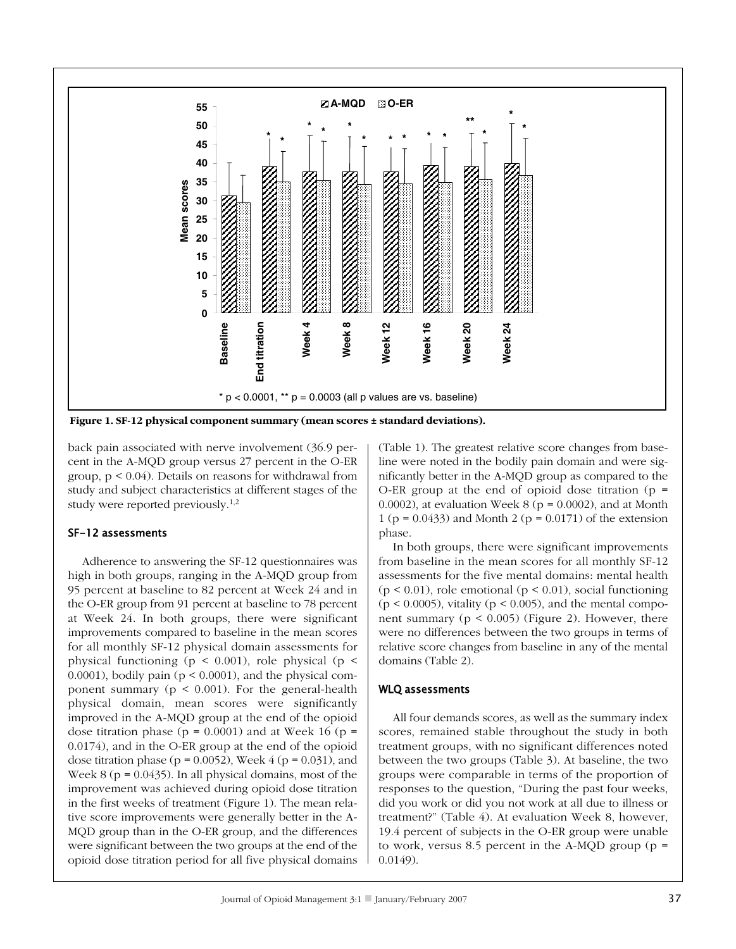

Figure 1. SF-12 physical component summary (mean scores ± standard deviations).

back pain associated with nerve involvement (36.9 percent in the A-MQD group versus 27 percent in the O-ER group,  $p \le 0.04$ ). Details on reasons for withdrawal from study and subject characteristics at different stages of the study were reported previously.<sup>1,2</sup>

#### SF-12 assessments

Adherence to answering the SF-12 questionnaires was high in both groups, ranging in the A-MQD group from 95 percent at baseline to 82 percent at Week 24 and in the O-ER group from 91 percent at baseline to 78 percent at Week 24. In both groups, there were significant improvements compared to baseline in the mean scores for all monthly SF-12 physical domain assessments for physical functioning ( $p \le 0.001$ ), role physical ( $p \le$  $(0.0001)$ , bodily pain ( $p < 0.0001$ ), and the physical component summary ( $p < 0.001$ ). For the general-health physical domain, mean scores were significantly improved in the A-MQD group at the end of the opioid dose titration phase ( $p = 0.0001$ ) and at Week 16 ( $p =$ 0.0174), and in the O-ER group at the end of the opioid dose titration phase ( $p = 0.0052$ ), Week 4 ( $p = 0.031$ ), and Week  $8(p = 0.0435)$ . In all physical domains, most of the improvement was achieved during opioid dose titration in the first weeks of treatment (Figure 1). The mean relative score improvements were generally better in the A-MQD group than in the O-ER group, and the differences were significant between the two groups at the end of the opioid dose titration period for all five physical domains (Table 1). The greatest relative score changes from baseline were noted in the bodily pain domain and were significantly better in the A-MQD group as compared to the O-ER group at the end of opioid dose titration ( $p =$ 0.0002), at evaluation Week  $8$  ( $p = 0.0002$ ), and at Month 1 ( $p = 0.0433$ ) and Month 2 ( $p = 0.0171$ ) of the extension phase.

In both groups, there were significant improvements from baseline in the mean scores for all monthly SF-12 assessments for the five mental domains: mental health  $(p < 0.01)$ , role emotional  $(p < 0.01)$ , social functioning  $(p < 0.0005)$ , vitality  $(p < 0.005)$ , and the mental component summary ( $p < 0.005$ ) (Figure 2). However, there were no differences between the two groups in terms of relative score changes from baseline in any of the mental domains (Table 2).

#### **WLQ** assessments

All four demands scores, as well as the summary index scores, remained stable throughout the study in both treatment groups, with no significant differences noted between the two groups (Table 3). At baseline, the two groups were comparable in terms of the proportion of responses to the question, "During the past four weeks, did you work or did you not work at all due to illness or treatment?" (Table 4). At evaluation Week 8, however, 19.4 percent of subjects in the O-ER group were unable to work, versus 8.5 percent in the A-MQD group ( $p =$  $0.0149$ .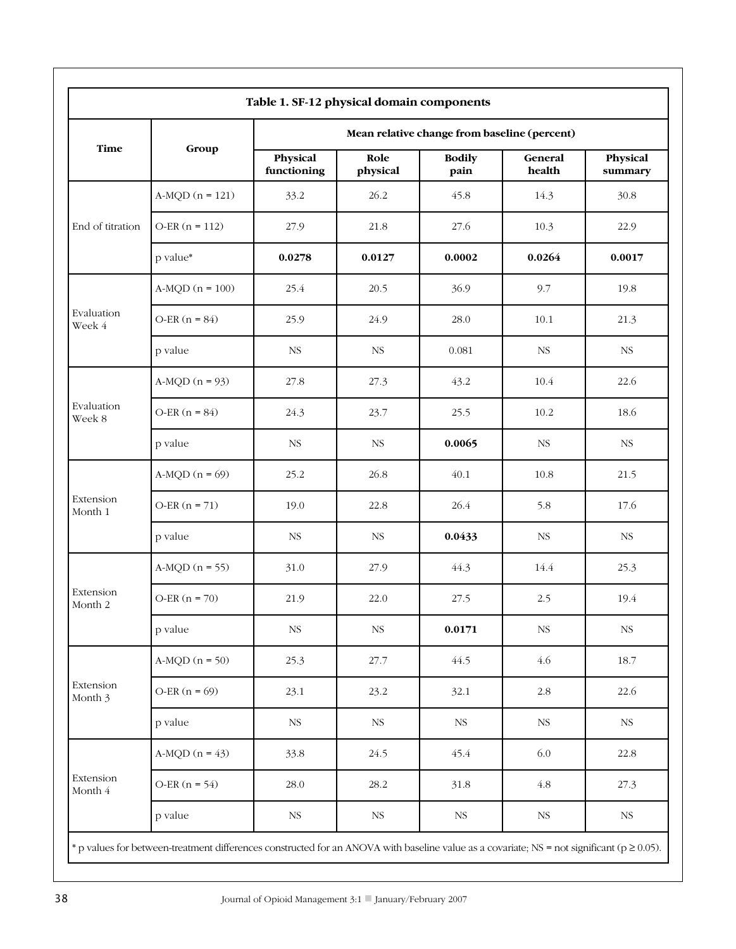| <b>Time</b>          |                   | Mean relative change from baseline (percent) |                  |                       |                   |                     |  |
|----------------------|-------------------|----------------------------------------------|------------------|-----------------------|-------------------|---------------------|--|
|                      | Group             | Physical<br>functioning                      | Role<br>physical | <b>Bodily</b><br>pain | General<br>health | Physical<br>summary |  |
| End of titration     | $A-MQD (n = 121)$ | 33.2                                         | 26.2             | 45.8                  | 14.3              | 30.8                |  |
|                      | $O-ER(n = 112)$   | 27.9                                         | 21.8             | 27.6                  | 10.3              | 22.9                |  |
|                      | p value*          | 0.0278                                       | 0.0127           | 0.0002                | 0.0264            | 0.0017              |  |
|                      | $A-MQD (n = 100)$ | 25.4                                         | 20.5             | 36.9                  | 9.7               | 19.8                |  |
| Evaluation<br>Week 4 | $O-ER(n = 84)$    | 25.9                                         | 24.9             | 28.0                  | 10.1              | 21.3                |  |
|                      | p value           | <b>NS</b>                                    | <b>NS</b>        | 0.081                 | <b>NS</b>         | <b>NS</b>           |  |
|                      | $A-MQD (n = 93)$  | 27.8                                         | 27.3             | 43.2                  | 10.4              | 22.6                |  |
| Evaluation<br>Week 8 | $O-ER(n = 84)$    | 24.3                                         | 23.7             | 25.5                  | 10.2              | 18.6                |  |
|                      | p value           | $_{\rm NS}$                                  | <b>NS</b>        | 0.0065                | <b>NS</b>         | $_{\rm NS}$         |  |
| Extension<br>Month 1 | A-MQD $(n = 69)$  | 25.2                                         | 26.8             | 40.1                  | 10.8              | 21.5                |  |
|                      | $O-ER(n = 71)$    | 19.0                                         | 22.8             | 26.4                  | 5.8               | 17.6                |  |
|                      | p value           | <b>NS</b>                                    | <b>NS</b>        | 0.0433                | <b>NS</b>         | $_{\rm NS}$         |  |
| Extension<br>Month 2 | $A-MQD (n = 55)$  | 31.0                                         | 27.9             | 44.3                  | 14.4              | 25.3                |  |
|                      | O-ER $(n = 70)$   | 21.9                                         | 22.0             | 27.5                  | 2.5               | 19.4                |  |
|                      | p value           | $_{\rm NS}$                                  | $_{\rm NS}$      | 0.0171                | $_{\rm NS}$       | <b>NS</b>           |  |
| Extension<br>Month 3 | $A-MQD (n = 50)$  | 25.3                                         | 27.7             | 44.5                  | 4.6               | 18.7                |  |
|                      | $O-ER(n = 69)$    | 23.1                                         | 23.2             | 32.1                  | $2.8\,$           | 22.6                |  |
|                      | p value           | NS                                           | <b>NS</b>        | $_{\rm NS}$           | <b>NS</b>         | $_{\rm NS}$         |  |
| Extension<br>Month 4 | A-MQD $(n = 43)$  | 33.8                                         | 24.5             | 45.4                  | 6.0               | 22.8                |  |
|                      | O-ER $(n = 54)$   | 28.0                                         | 28.2             | 31.8                  | 4.8               | 27.3                |  |
|                      | p value           | NS                                           | $_{\rm NS}$      | <b>NS</b>             | $_{\rm NS}$       | $_{\rm NS}$         |  |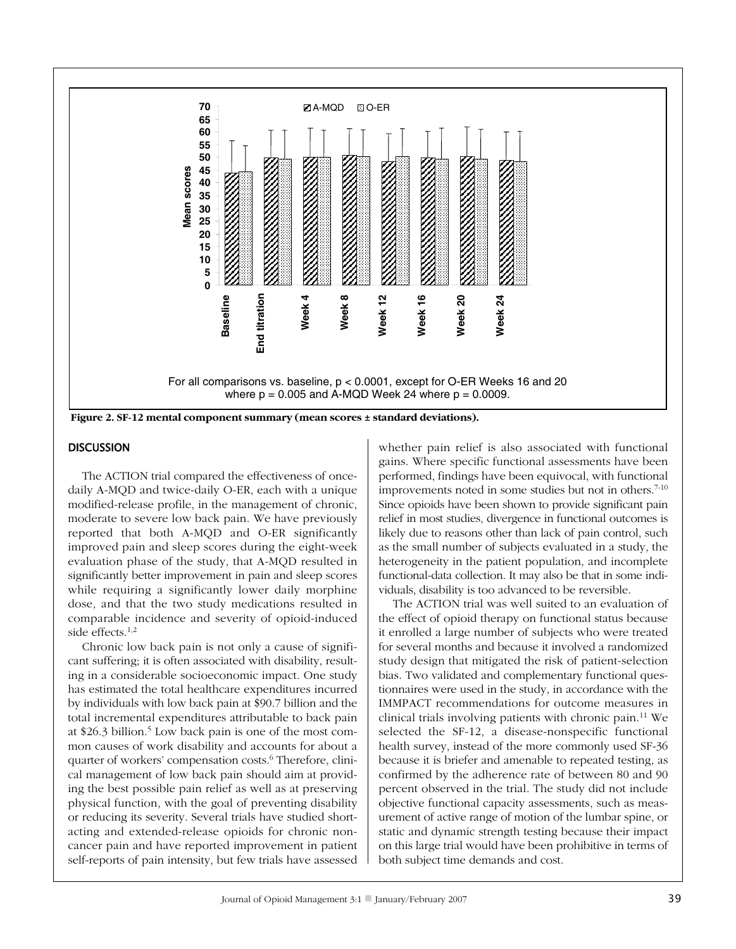

Figure 2. SF-12 mental component summary (mean scores  $\pm$  standard deviations).

#### **DISCUSSION**

The ACTION trial compared the effectiveness of oncedaily A-MQD and twice-daily O-ER, each with a unique modified-release profile, in the management of chronic, moderate to severe low back pain. We have previously reported that both A-MQD and O-ER significantly improved pain and sleep scores during the eight-week evaluation phase of the study, that A-MQD resulted in significantly better improvement in pain and sleep scores while requiring a significantly lower daily morphine dose, and that the two study medications resulted in comparable incidence and severity of opioid-induced side effects. $1,2$ 

Chronic low back pain is not only a cause of significant suffering; it is often associated with disability, resulting in a considerable socioeconomic impact. One study has estimated the total healthcare expenditures incurred by individuals with low back pain at \$90.7 billion and the total incremental expenditures attributable to back pain at \$26.3 billion.<sup>5</sup> Low back pain is one of the most common causes of work disability and accounts for about a quarter of workers' compensation costs.<sup>6</sup> Therefore, clinical management of low back pain should aim at providing the best possible pain relief as well as at preserving physical function, with the goal of preventing disability or reducing its severity. Several trials have studied shortacting and extended-release opioids for chronic noncancer pain and have reported improvement in patient self-reports of pain intensity, but few trials have assessed whether pain relief is also associated with functional gains. Where specific functional assessments have been performed, findings have been equivocal, with functional improvements noted in some studies but not in others.<sup>7-10</sup> Since opioids have been shown to provide significant pain relief in most studies, divergence in functional outcomes is likely due to reasons other than lack of pain control, such as the small number of subjects evaluated in a study, the heterogeneity in the patient population, and incomplete functional-data collection. It may also be that in some individuals, disability is too advanced to be reversible.

The ACTION trial was well suited to an evaluation of the effect of opioid therapy on functional status because it enrolled a large number of subjects who were treated for several months and because it involved a randomized study design that mitigated the risk of patient-selection bias. Two validated and complementary functional questionnaires were used in the study, in accordance with the IMMPACT recommendations for outcome measures in clinical trials involving patients with chronic pain.<sup>11</sup> We selected the SF-12, a disease-nonspecific functional health survey, instead of the more commonly used SF-36 because it is briefer and amenable to repeated testing, as confirmed by the adherence rate of between 80 and 90  $\,$ percent observed in the trial. The study did not include objective functional capacity assessments, such as measurement of active range of motion of the lumbar spine, or static and dynamic strength testing because their impact on this large trial would have been prohibitive in terms of both subject time demands and cost.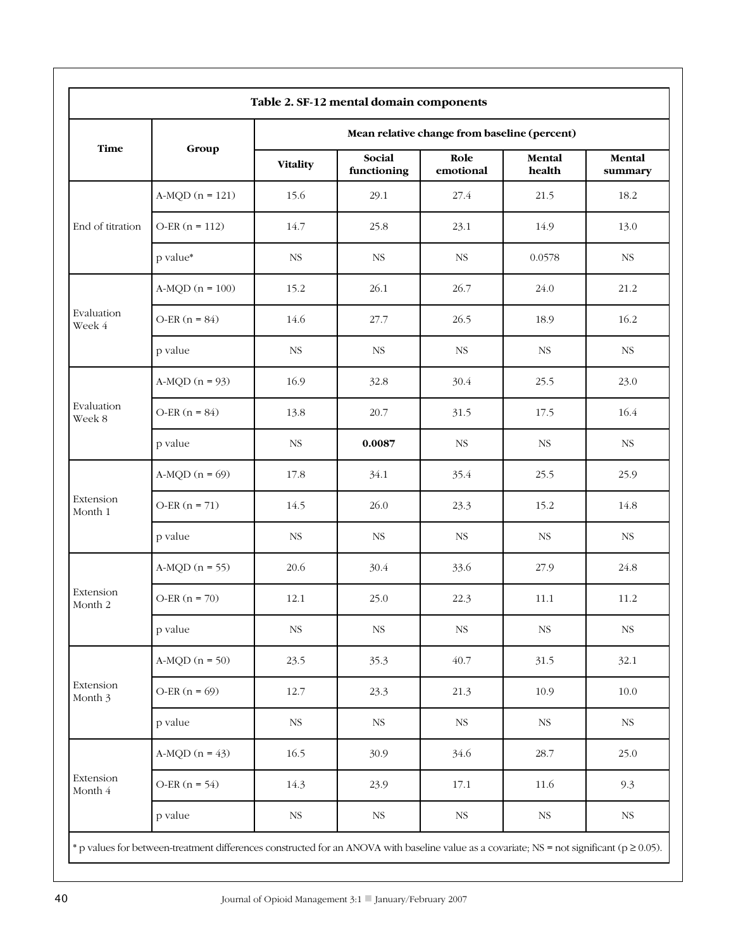| <b>Time</b>          |                   | Mean relative change from baseline (percent) |                       |                   |                  |                   |  |
|----------------------|-------------------|----------------------------------------------|-----------------------|-------------------|------------------|-------------------|--|
|                      | Group             | <b>Vitality</b>                              | Social<br>functioning | Role<br>emotional | Mental<br>health | Mental<br>summary |  |
| End of titration     | $A-MQD (n = 121)$ | 15.6                                         | 29.1                  | 27.4              | 21.5             | 18.2              |  |
|                      | $O-ER(n = 112)$   | 14.7                                         | 25.8                  | 23.1              | 14.9             | 13.0              |  |
|                      | p value*          | $_{\rm NS}$                                  | <b>NS</b>             | <b>NS</b>         | 0.0578           | $_{\rm NS}$       |  |
|                      | $A-MQD (n = 100)$ | 15.2                                         | 26.1                  | 26.7              | 24.0             | 21.2              |  |
| Evaluation<br>Week 4 | O-ER $(n = 84)$   | 14.6                                         | 27.7                  | 26.5              | 18.9             | 16.2              |  |
|                      | p value           | $_{\rm NS}$                                  | <b>NS</b>             | <b>NS</b>         | <b>NS</b>        | <b>NS</b>         |  |
| Evaluation<br>Week 8 | A-MQD $(n = 93)$  | 16.9                                         | 32.8                  | 30.4              | 25.5             | 23.0              |  |
|                      | O-ER $(n = 84)$   | 13.8                                         | 20.7                  | 31.5              | 17.5             | 16.4              |  |
|                      | p value           | <b>NS</b>                                    | 0.0087                | <b>NS</b>         | <b>NS</b>        | <b>NS</b>         |  |
|                      | A-MQD $(n = 69)$  | 17.8                                         | 34.1                  | 35.4              | 25.5             | 25.9              |  |
| Extension<br>Month 1 | $O-ER(n = 71)$    | 14.5                                         | 26.0                  | 23.3              | 15.2             | 14.8              |  |
|                      | p value           | $_{\rm NS}$                                  | <b>NS</b>             | $_{\rm NS}$       | <b>NS</b>        | $_{\rm NS}$       |  |
| Extension<br>Month 2 | $A-MQD (n = 55)$  | 20.6                                         | 30.4                  | 33.6              | 27.9             | 24.8              |  |
|                      | $O-ER(n = 70)$    | 12.1                                         | 25.0                  | 22.3              | 11.1             | 11.2              |  |
|                      | p value           | $_{\rm NS}$                                  | $_{\rm NS}$           | $_{\rm NS}$       | $_{\rm NS}$      | $_{\rm NS}$       |  |
| Extension<br>Month 3 | A-MQD $(n = 50)$  | 23.5                                         | 35.3                  | 40.7              | 31.5             | 32.1              |  |
|                      | O-ER $(n = 69)$   | 12.7                                         | 23.3                  | 21.3              | 10.9             | 10.0              |  |
|                      | p value           | $_{\rm NS}$                                  | <b>NS</b>             | $_{\rm NS}$       | $_{\rm NS}$      | NS                |  |
| Extension<br>Month 4 | A-MQD $(n = 43)$  | 16.5                                         | 30.9                  | 34.6              | 28.7             | 25.0              |  |
|                      | O-ER $(n = 54)$   | 14.3                                         | 23.9                  | 17.1              | 11.6             | 9.3               |  |
|                      | p value           | $_{\rm NS}$                                  | <b>NS</b>             | $_{\rm NS}$       | $_{\rm NS}$      | $_{\rm NS}$       |  |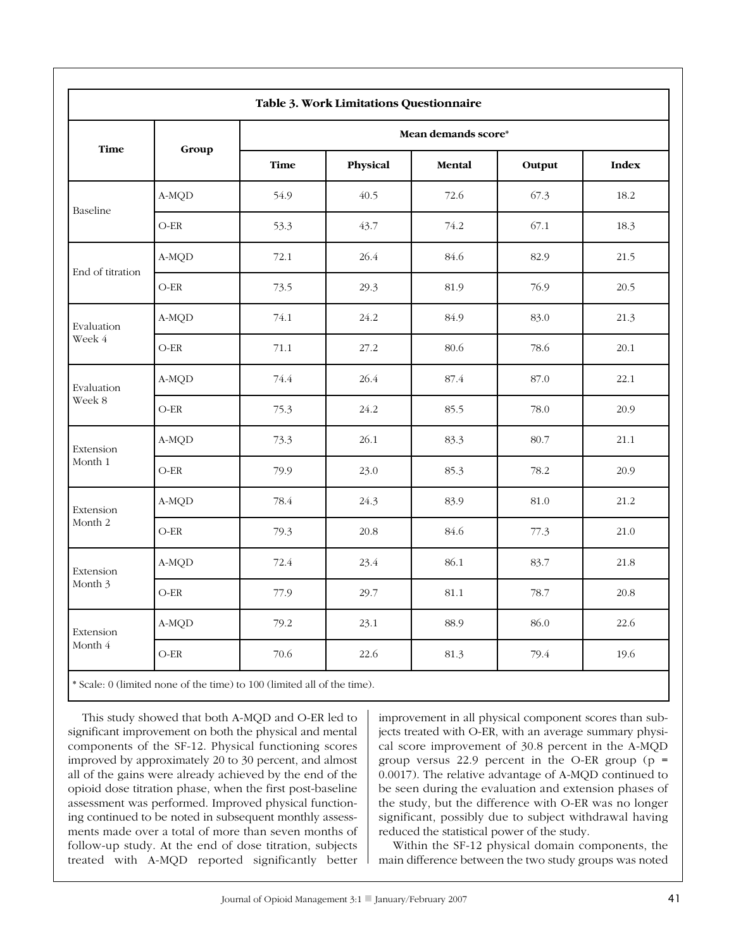| Table 3. Work Limitations Questionnaire |                                 |                     |          |        |        |              |  |
|-----------------------------------------|---------------------------------|---------------------|----------|--------|--------|--------------|--|
| <b>Time</b>                             |                                 | Mean demands score* |          |        |        |              |  |
|                                         | Group                           | Time                | Physical | Mental | Output | <b>Index</b> |  |
| Baseline                                | A-MQD                           | 54.9                | 40.5     | 72.6   | 67.3   | 18.2         |  |
|                                         | $O-ER$                          | 53.3                | 43.7     | 74.2   | 67.1   | 18.3         |  |
|                                         | A-MQD                           | 72.1                | 26.4     | 84.6   | 82.9   | 21.5         |  |
| End of titration                        | $O-ER$                          | 73.5                | 29.3     | 81.9   | 76.9   | 20.5         |  |
| Evaluation                              | A-MQD                           | 74.1                | 24.2     | 84.9   | 83.0   | 21.3         |  |
| Week 4                                  | $O-ER$                          | 71.1                | 27.2     | 80.6   | 78.6   | 20.1         |  |
| Evaluation                              | A-MQD                           | 74.4                | 26.4     | 87.4   | 87.0   | 22.1         |  |
| Week 8                                  | $O-ER$                          | 75.3                | 24.2     | 85.5   | 78.0   | 20.9         |  |
| Extension                               | A-MQD                           | 73.3                | 26.1     | 83.3   | 80.7   | 21.1         |  |
| Month 1                                 | $\mathrm{O}\text{-}\mathrm{ER}$ | 79.9                | 23.0     | 85.3   | 78.2   | 20.9         |  |
| Extension                               | A-MQD                           | 78.4                | 24.3     | 83.9   | 81.0   | 21.2         |  |
| Month 2                                 | $O-ER$                          | 79.3                | 20.8     | 84.6   | 77.3   | 21.0         |  |
| Extension<br>Month 3                    | A-MQD                           | 72.4                | 23.4     | 86.1   | 83.7   | 21.8         |  |
|                                         | $O-ER$                          | 77.9                | 29.7     | 81.1   | 78.7   | 20.8         |  |
| Extension<br>Month 4                    | A-MQD                           | 79.2                | 23.1     | 88.9   | 86.0   | 22.6         |  |
|                                         | $O-ER$                          | 70.6                | 22.6     | 81.3   | 79.4   | 19.6         |  |

\* Scale: 0 (limited none of the time) to 100 (limited all of the time).

This study showed that both A-MQD and O-ER led to significant improvement on both the physical and mental components of the SF-12. Physical functioning scores improved by approximately 20 to 30 percent, and almost all of the gains were already achieved by the end of the opioid dose titration phase, when the first post-baseline assessment was performed. Improved physical functioning continued to be noted in subsequent monthly assessments made over a total of more than seven months of follow-up study. At the end of dose titration, subjects treated with A-MQD reported significantly better improvement in all physical component scores than subjects treated with O-ER, with an average summary physical score improvement of 30.8 percent in the A-MQD group versus 22.9 percent in the O-ER group (p =  $0.0017$ ). The relative advantage of A-MQD continued to be seen during the evaluation and extension phases of the study, but the difference with O-ER was no longer significant, possibly due to subject withdrawal having reduced the statistical power of the study.

Within the SF-12 physical domain components, the main difference between the two study groups was noted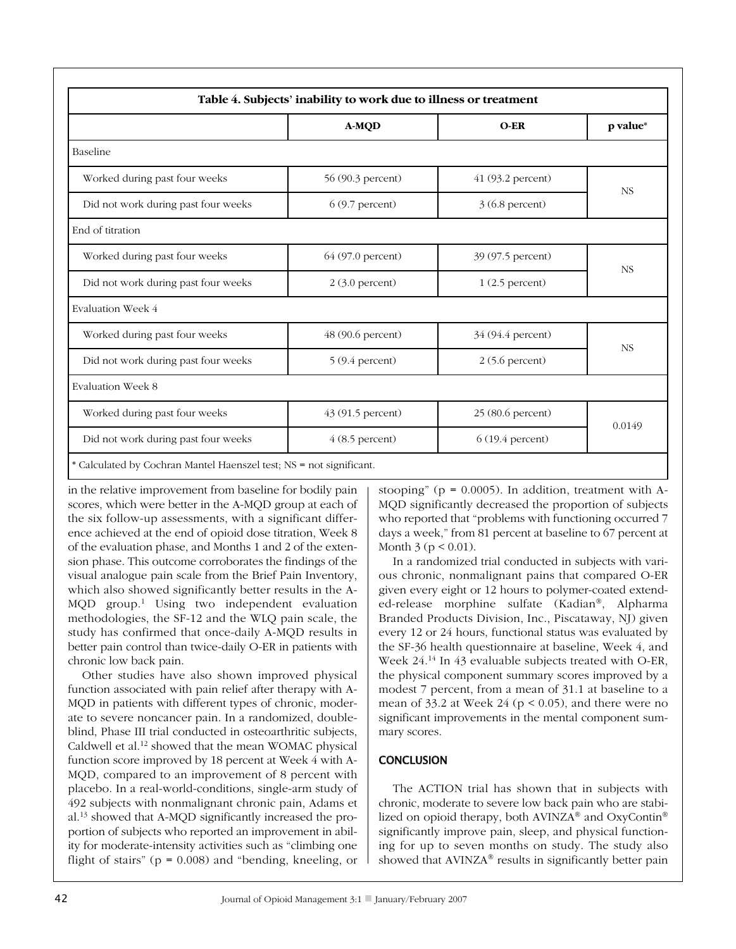|                                     | A-MOD             | $O-ER$             | p value*  |  |
|-------------------------------------|-------------------|--------------------|-----------|--|
| Baseline                            |                   |                    |           |  |
| Worked during past four weeks       | 56 (90.3 percent) | 41 (93.2 percent)  | <b>NS</b> |  |
| Did not work during past four weeks | $6(9.7)$ percent) | 3 (6.8 percent)    |           |  |
| End of titration                    |                   |                    |           |  |
| Worked during past four weeks       | 64 (97.0 percent) | 39 (97.5 percent)  |           |  |
| Did not work during past four weeks | $2(3.0$ percent)  | $1(2.5$ percent)   | <b>NS</b> |  |
| <b>Evaluation Week 4</b>            |                   |                    |           |  |
| Worked during past four weeks       | 48 (90.6 percent) | 34 (94.4 percent)  | <b>NS</b> |  |
| Did not work during past four weeks | $5(9.4)$ percent) | 2(5.6 percent)     |           |  |
| <b>Evaluation Week 8</b>            |                   |                    |           |  |
| Worked during past four weeks       | 43 (91.5 percent) | 25 (80.6 percent)  |           |  |
| Did not work during past four weeks | $4(8.5$ percent)  | $6(19.4)$ percent) | 0.0149    |  |

in the relative improvement from baseline for bodily pain scores, which were better in the A-MQD group at each of the six follow-up assessments, with a significant difference achieved at the end of opioid dose titration, Week 8 of the evaluation phase, and Months 1 and 2 of the extension phase. This outcome corroborates the findings of the visual analogue pain scale from the Brief Pain Inventory, which also showed significantly better results in the A-MQD group.<sup>1</sup> Using two independent evaluation methodologies, the SF-12 and the WLQ pain scale, the study has confirmed that once-daily A-MQD results in better pain control than twice-daily O-ER in patients with chronic low back pain.

Other studies have also shown improved physical function associated with pain relief after therapy with A-MQD in patients with different types of chronic, moderate to severe noncancer pain. In a randomized, doubleblind, Phase III trial conducted in osteoarthritic subjects, Caldwell et al.<sup>12</sup> showed that the mean WOMAC physical function score improved by 18 percent at Week 4 with A-MQD, compared to an improvement of 8 percent with placebo. In a real-world-conditions, single-arm study of 492 subjects with nonmalignant chronic pain, Adams et al.<sup>13</sup> showed that A-MQD significantly increased the proportion of subjects who reported an improvement in ability for moderate-intensity activities such as "climbing one flight of stairs" ( $p = 0.008$ ) and "bending, kneeling, or

stooping" ( $p = 0.0005$ ). In addition, treatment with A-MQD significantly decreased the proportion of subjects who reported that "problems with functioning occurred 7 days a week," from 81 percent at baseline to 67 percent at Month  $3 (p < 0.01)$ .

In a randomized trial conducted in subjects with various chronic, nonmalignant pains that compared O-ER given every eight or 12 hours to polymer-coated extended-release morphine sulfate (Kadian®, Alpharma Branded Products Division, Inc., Piscataway, NJ) given every 12 or 24 hours, functional status was evaluated by the SF-36 health questionnaire at baseline, Week 4, and Week  $24.^{14}$  In 43 evaluable subjects treated with O-ER, the physical component summary scores improved by a modest 7 percent, from a mean of 31.1 at baseline to a mean of  $33.2$  at Week 24 ( $p < 0.05$ ), and there were no significant improvements in the mental component summary scores.

# **CONCLUSION**

The ACTION trial has shown that in subjects with chronic, moderate to severe low back pain who are stabilized on opioid therapy, both AVINZA<sup>®</sup> and OxyContin<sup>®</sup> significantly improve pain, sleep, and physical functioning for up to seven months on study. The study also showed that AVINZA® results in significantly better pain